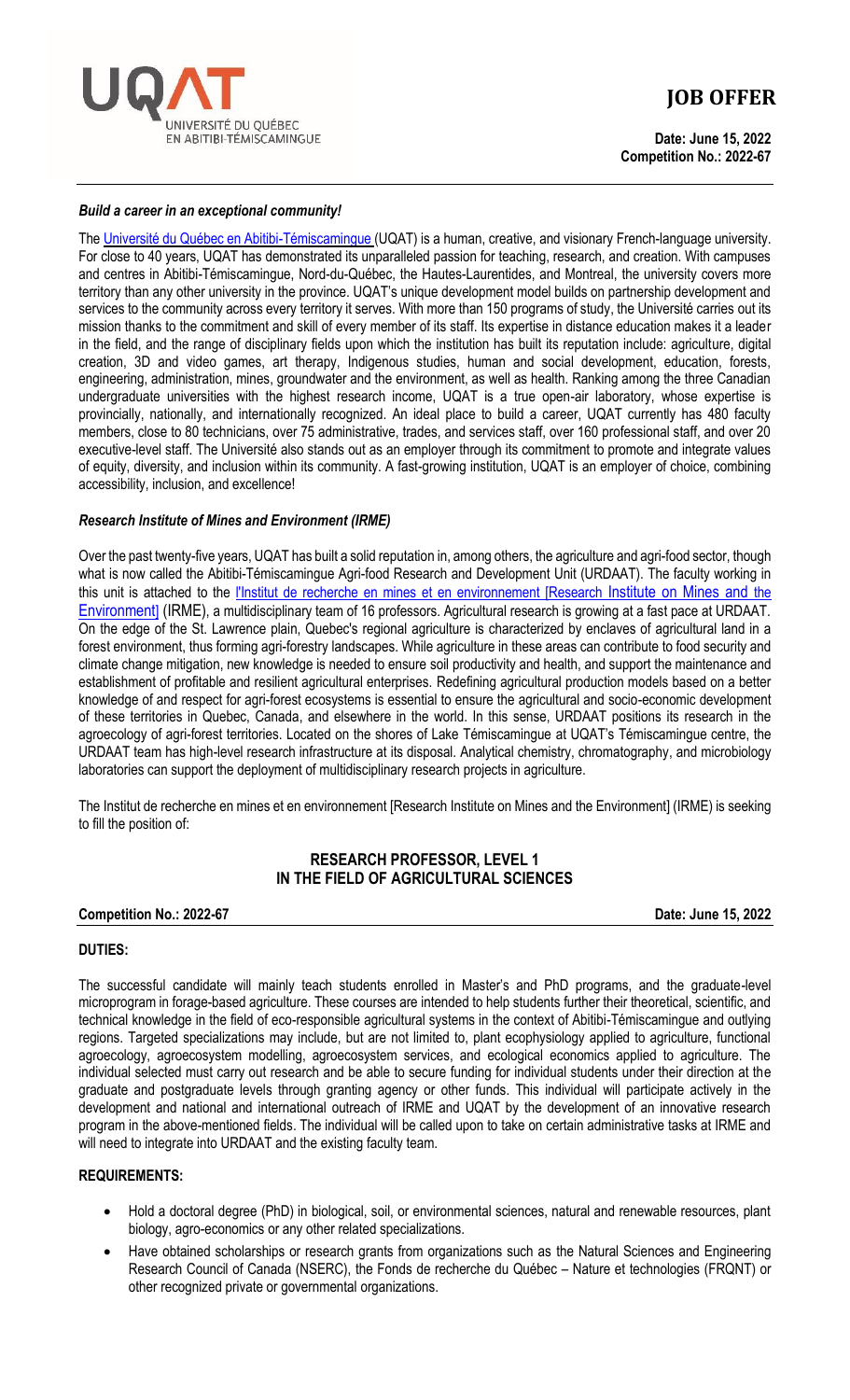

# **JOB OFFER**

**Date: June 15, 2022 Competition No.: 2022-67**

#### *Build a career in an exceptional community!*

Th[e Université du Québec en Abitibi-Témiscamingue](http://www.uqat.ca/) (UQAT) is a human, creative, and visionary French-language university. For close to 40 years, UQAT has demonstrated its unparalleled passion for teaching, research, and creation. With campuses and centres in Abitibi-Témiscamingue, Nord-du-Québec, the Hautes-Laurentides, and Montreal, the university covers more territory than any other university in the province. UQAT's unique development model builds on partnership development and services to the community across every territory it serves. With more than 150 programs of study, the Université carries out its mission thanks to the commitment and skill of every member of its staff. Its expertise in distance education makes it a leader in the field, and the range of disciplinary fields upon which the institution has built its reputation include: agriculture, digital creation, 3D and video games, art therapy, Indigenous studies, human and social development, education, forests, engineering, administration, mines, groundwater and the environment, as well as health. Ranking among the three Canadian undergraduate universities with the highest research income, UQAT is a true open-air laboratory, whose expertise is provincially, nationally, and internationally recognized. An ideal place to build a career, UQAT currently has 480 faculty members, close to 80 technicians, over 75 administrative, trades, and services staff, over 160 professional staff, and over 20 executive-level staff. The Université also stands out as an employer through its commitment to promote and integrate values of equity, diversity, and inclusion within its community. A fast-growing institution, UQAT is an employer of choice, combining accessibility, inclusion, and excellence!

# *Research Institute of Mines and Environment (IRME)*

Over the past twenty-five years, UQAT has built a solid reputation in, among others, the agriculture and agri-food sector, though what is now called the Abitibi-Témiscamingue Agri-food Research and Development Unit (URDAAT). The faculty working in this unit is attached to the [l'Institut de recherche en mines et en environnement \[Research](https://uqat.ca/etudes/irme/) Institute on Mines and the [Environment](https://uqat.ca/etudes/irme/)] (IRME), a multidisciplinary team of 16 professors. Agricultural research is growing at a fast pace at URDAAT. On the edge of the St. Lawrence plain, Quebec's regional agriculture is characterized by enclaves of agricultural land in a forest environment, thus forming agri-forestry landscapes. While agriculture in these areas can contribute to food security and climate change mitigation, new knowledge is needed to ensure soil productivity and health, and support the maintenance and establishment of profitable and resilient agricultural enterprises. Redefining agricultural production models based on a better knowledge of and respect for agri-forest ecosystems is essential to ensure the agricultural and socio-economic development of these territories in Quebec, Canada, and elsewhere in the world. In this sense, URDAAT positions its research in the agroecology of agri-forest territories. Located on the shores of Lake Témiscamingue at UQAT's Témiscamingue centre, the URDAAT team has high-level research infrastructure at its disposal. Analytical chemistry, chromatography, and microbiology laboratories can support the deployment of multidisciplinary research projects in agriculture.

The Institut de recherche en mines et en environnement [Research Institute on Mines and the Environment] (IRME) is seeking to fill the position of:

# **RESEARCH PROFESSOR, LEVEL 1 IN THE FIELD OF AGRICULTURAL SCIENCES**

#### **Competition No.: 2022-67 Date: June 15, 2022**

#### **DUTIES:**

The successful candidate will mainly teach students enrolled in Master's and PhD programs, and the graduate-level microprogram in forage-based agriculture. These courses are intended to help students further their theoretical, scientific, and technical knowledge in the field of eco-responsible agricultural systems in the context of Abitibi-Témiscamingue and outlying regions. Targeted specializations may include, but are not limited to, plant ecophysiology applied to agriculture, functional agroecology, agroecosystem modelling, agroecosystem services, and ecological economics applied to agriculture. The individual selected must carry out research and be able to secure funding for individual students under their direction at the graduate and postgraduate levels through granting agency or other funds. This individual will participate actively in the development and national and international outreach of IRME and UQAT by the development of an innovative research program in the above-mentioned fields. The individual will be called upon to take on certain administrative tasks at IRME and will need to integrate into URDAAT and the existing faculty team.

#### **REQUIREMENTS:**

- Hold a doctoral degree (PhD) in biological, soil, or environmental sciences, natural and renewable resources, plant biology, agro-economics or any other related specializations.
- Have obtained scholarships or research grants from organizations such as the Natural Sciences and Engineering Research Council of Canada (NSERC), the Fonds de recherche du Québec – Nature et technologies (FRQNT) or other recognized private or governmental organizations.